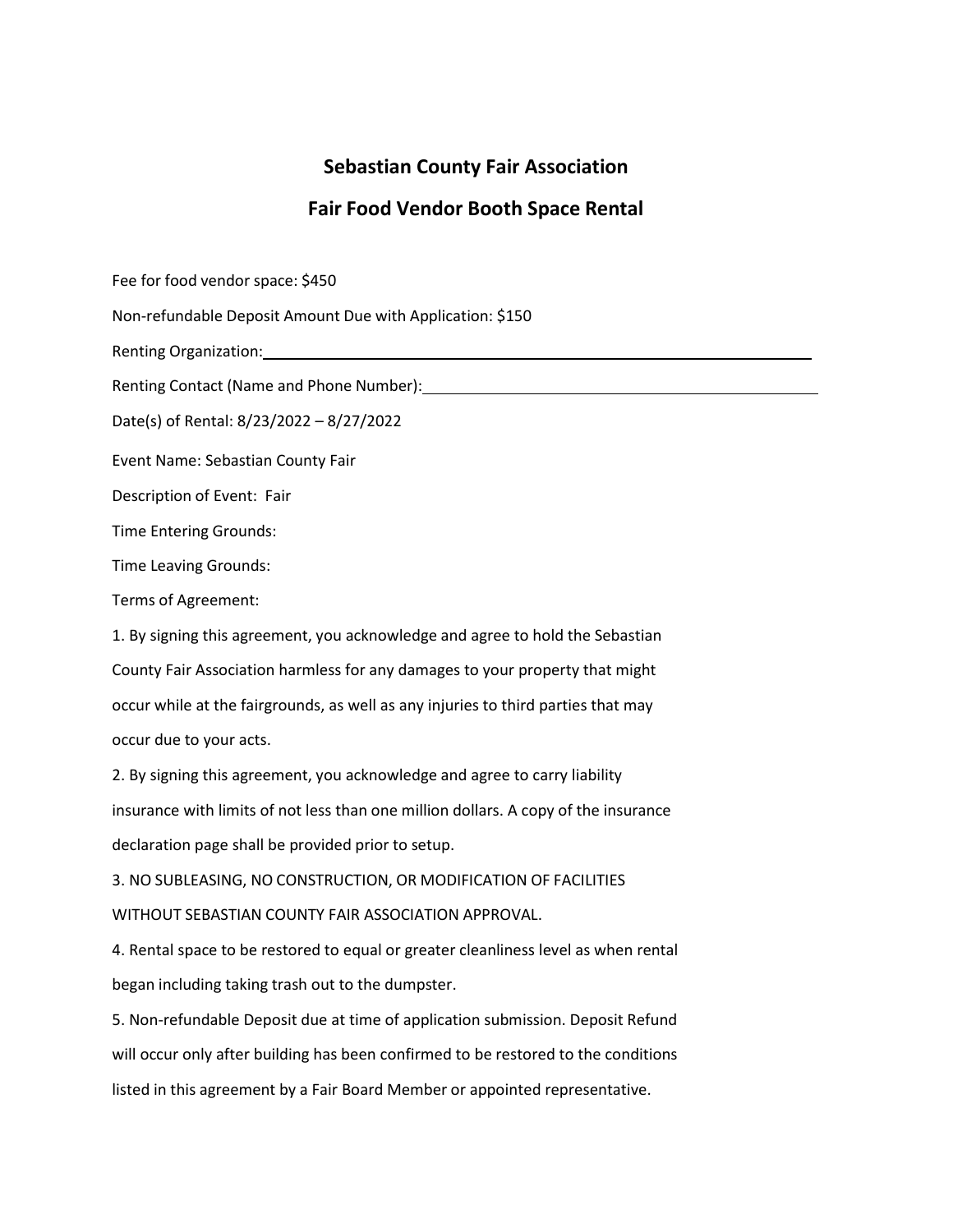## **Sebastian County Fair Association**

## **Fair Food Vendor Booth Space Rental**

Fee for food vendor space: \$450

Non-refundable Deposit Amount Due with Application: \$150

Renting Organization:

Renting Contact (Name and Phone Number):

Date(s) of Rental: 8/23/2022 – 8/27/2022

Event Name: Sebastian County Fair

Description of Event: Fair

Time Entering Grounds:

Time Leaving Grounds:

Terms of Agreement:

1. By signing this agreement, you acknowledge and agree to hold the Sebastian County Fair Association harmless for any damages to your property that might occur while at the fairgrounds, as well as any injuries to third parties that may occur due to your acts.

2. By signing this agreement, you acknowledge and agree to carry liability insurance with limits of not less than one million dollars. A copy of the insurance declaration page shall be provided prior to setup.

3. NO SUBLEASING, NO CONSTRUCTION, OR MODIFICATION OF FACILITIES WITHOUT SEBASTIAN COUNTY FAIR ASSOCIATION APPROVAL.

4. Rental space to be restored to equal or greater cleanliness level as when rental began including taking trash out to the dumpster.

5. Non-refundable Deposit due at time of application submission. Deposit Refund will occur only after building has been confirmed to be restored to the conditions listed in this agreement by a Fair Board Member or appointed representative.